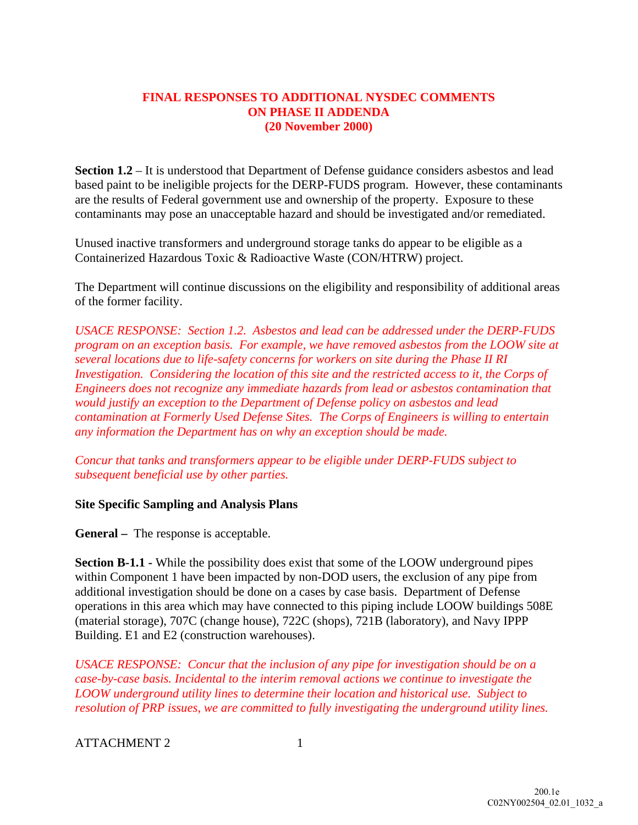## **FINAL RESPONSES TO ADDITIONAL NYSDEC COMMENTS ON PHASE II ADDENDA (20 November 2000)**

**Section 1.2** – It is understood that Department of Defense guidance considers asbestos and lead based paint to be ineligible projects for the DERP-FUDS program. However, these contaminants are the results of Federal government use and ownership of the property. Exposure to these contaminants may pose an unacceptable hazard and should be investigated and/or remediated.

Unused inactive transformers and underground storage tanks do appear to be eligible as a Containerized Hazardous Toxic & Radioactive Waste (CON/HTRW) project.

The Department will continue discussions on the eligibility and responsibility of additional areas of the former facility.

*USACE RESPONSE: Section 1.2. Asbestos and lead can be addressed under the DERP-FUDS program on an exception basis. For example, we have removed asbestos from the LOOW site at several locations due to life-safety concerns for workers on site during the Phase II RI Investigation. Considering the location of this site and the restricted access to it, the Corps of Engineers does not recognize any immediate hazards from lead or asbestos contamination that would justify an exception to the Department of Defense policy on asbestos and lead contamination at Formerly Used Defense Sites. The Corps of Engineers is willing to entertain any information the Department has on why an exception should be made.* 

*Concur that tanks and transformers appear to be eligible under DERP-FUDS subject to subsequent beneficial use by other parties.* 

## **Site Specific Sampling and Analysis Plans**

**General –** The response is acceptable.

**Section B-1.1 -** While the possibility does exist that some of the LOOW underground pipes within Component 1 have been impacted by non-DOD users, the exclusion of any pipe from additional investigation should be done on a cases by case basis. Department of Defense operations in this area which may have connected to this piping include LOOW buildings 508E (material storage), 707C (change house), 722C (shops), 721B (laboratory), and Navy IPPP Building. E1 and E2 (construction warehouses).

*USACE RESPONSE: Concur that the inclusion of any pipe for investigation should be on a case-by-case basis. Incidental to the interim removal actions we continue to investigate the LOOW underground utility lines to determine their location and historical use. Subject to resolution of PRP issues, we are committed to fully investigating the underground utility lines.* 

ATTACHMENT 2 1